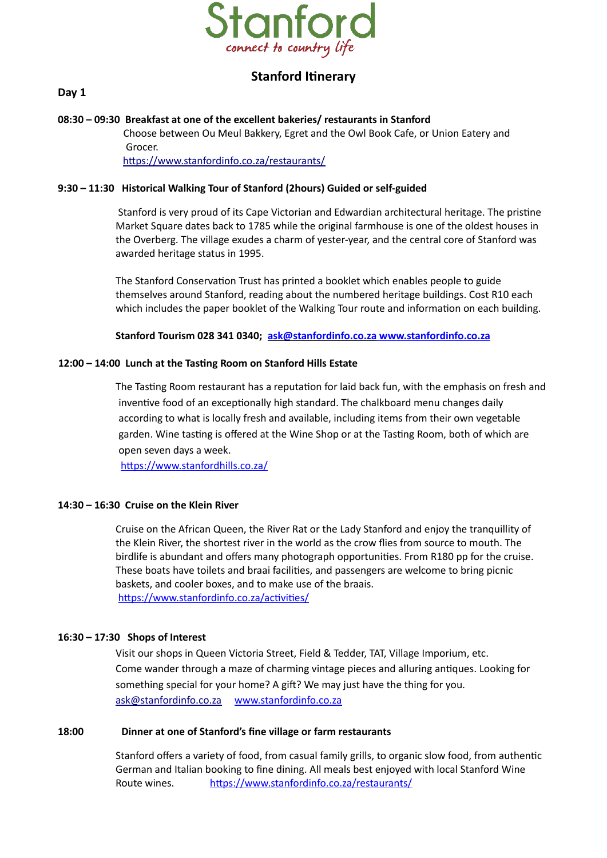

# **Stanford Itinerary**

## **Day 1**

#### **08:30 – 09:30 Breakfast at one of the excellent bakeries/ restaurants in Stanford**

 Choose between Ou Meul Bakkery, Egret and the Owl Book Cafe, or Union Eatery and Grocer. <https://www.stanfordinfo.co.za/restaurants/>

### **9:30 – 11:30 Historical Walking Tour of Stanford (2hours) Guided or self-guided**

 Stanford is very proud of its Cape Victorian and Edwardian architectural heritage. The pristine Market Square dates back to 1785 while the original farmhouse is one of the oldest houses in the Overberg. The village exudes a charm of yester-year, and the central core of Stanford was awarded heritage status in 1995.

The Stanford Conservation Trust has printed a booklet which enables people to guide themselves around Stanford, reading about the numbered heritage buildings. Cost R10 each which includes the paper booklet of the Walking Tour route and information on each building.

**Stanford Tourism 028 341 0340; [ask@stanfordinfo.co.za](mailto:ask@stanfordinfo.co.za) [www.stanfordinfo.co.za](http://www.stanfordinfo.co.za/)**

#### **12:00 – 14:00 Lunch at the Tasting Room on Stanford Hills Estate**

The Tasting Room restaurant has a reputation for laid back fun, with the emphasis on fresh and inventive food of an exceptionally high standard. The chalkboard menu changes daily according to what is locally fresh and available, including items from their own vegetable garden. Wine tasting is offered at the Wine Shop or at the Tasting Room, both of which are open seven days a week.

https://www.stanfordhills.co.za/

#### **14:30 – 16:30 Cruise on the Klein River**

Cruise on the African Queen, the River Rat or the Lady Stanford and enjoy the tranquillity of the Klein River, the shortest river in the world as the crow flies from source to mouth. The birdlife is abundant and offers many photograph opportunities. From R180 pp for the cruise. These boats have toilets and braai facilities, and passengers are welcome to bring picnic baskets, and cooler boxes, and to make use of the braais. https://www.stanfordinfo.co.za/activities/

#### **16:30 – 17:30 Shops of Interest**

Visit our shops in Queen Victoria Street, Field & Tedder, TAT, Village Imporium, etc. Come wander through a maze of charming vintage pieces and alluring antiques. Looking for something special for your home? A gift? We may just have the thing for you. [ask@stanfordinfo.co.za](mailto:ask@stanfordinfo.co.za) www.stanfordinfo.co.za

#### **18:00 Dinner at one of Stanford's fine village or farm restaurants**

Stanford offers a variety of food, from casual family grills, to organic slow food, from authentic German and Italian booking to fine dining. All meals best enjoyed with local Stanford Wine Route wines. https://www.stanfordinfo.co.za/restaurants/